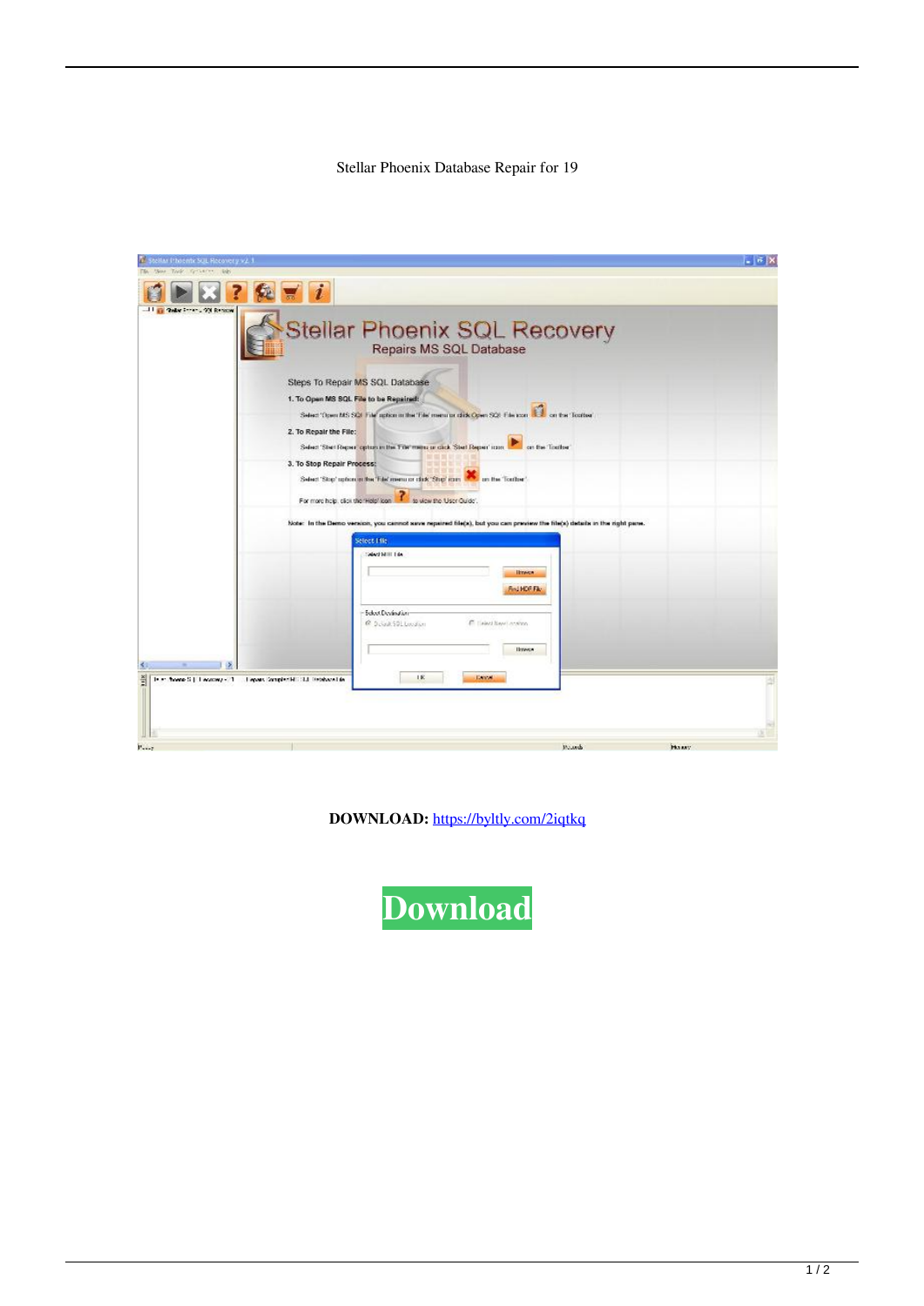## Stellar Phoenix Database Repair for 19

| tellar Phoente SQL Recovery v2.1                                                                     |                                                                                                                                                                                                                                                                                                                                                                                     |        | $-6$ X      |
|------------------------------------------------------------------------------------------------------|-------------------------------------------------------------------------------------------------------------------------------------------------------------------------------------------------------------------------------------------------------------------------------------------------------------------------------------------------------------------------------------|--------|-------------|
|                                                                                                      |                                                                                                                                                                                                                                                                                                                                                                                     |        |             |
| <b>Golden Francis (90) Remotes</b><br>2. To Repair the File:                                         | Stellar Phoenix SQL Recovery<br>Steps To Repair MS SQL Database<br>1. To Open MS SQL File to be Repaired:<br>Select 'Open MS SQL File' aption in the 'File' memorial click Open SQL File con. Let's on the 'Tootbe'                                                                                                                                                                 |        |             |
| 3. To Stop Repair Process:                                                                           | Select 'Steri Repert' option in the Triet menu or click. 'Stert Repert' room.<br>on the Toulton<br>Select 'Stop' option on the 'Ede' menu or clock 'Stop' rain. We are the "Toother"<br>to view the User Guide'.<br>For more help, caps the "Help" icon-<br>Note: In the Demo version, you cannot save repaired file(s), but you can preview the file(s) details in the right pane. |        |             |
|                                                                                                      | Salect Lilla<br>Med MIII Ede<br><b>Ilmeses</b><br>Find HOF File                                                                                                                                                                                                                                                                                                                     |        |             |
| 引<br>J.                                                                                              | Select Devindom<br>@ Duisak50L Lucasan<br><b>C. Helen New Looking</b><br>Ilmeen<br>UK.<br><b>Laws</b>                                                                                                                                                                                                                                                                               |        |             |
| $\frac{1}{2}$<br>14 m. froeno S.J. Leonovoy - 21. L. Lepars Complement S.S. Distributed de<br>Page 1 |                                                                                                                                                                                                                                                                                                                                                                                     | Mauruk | <b>HOWY</b> |

**DOWNLOAD:** <https://byltly.com/2iqtkq>